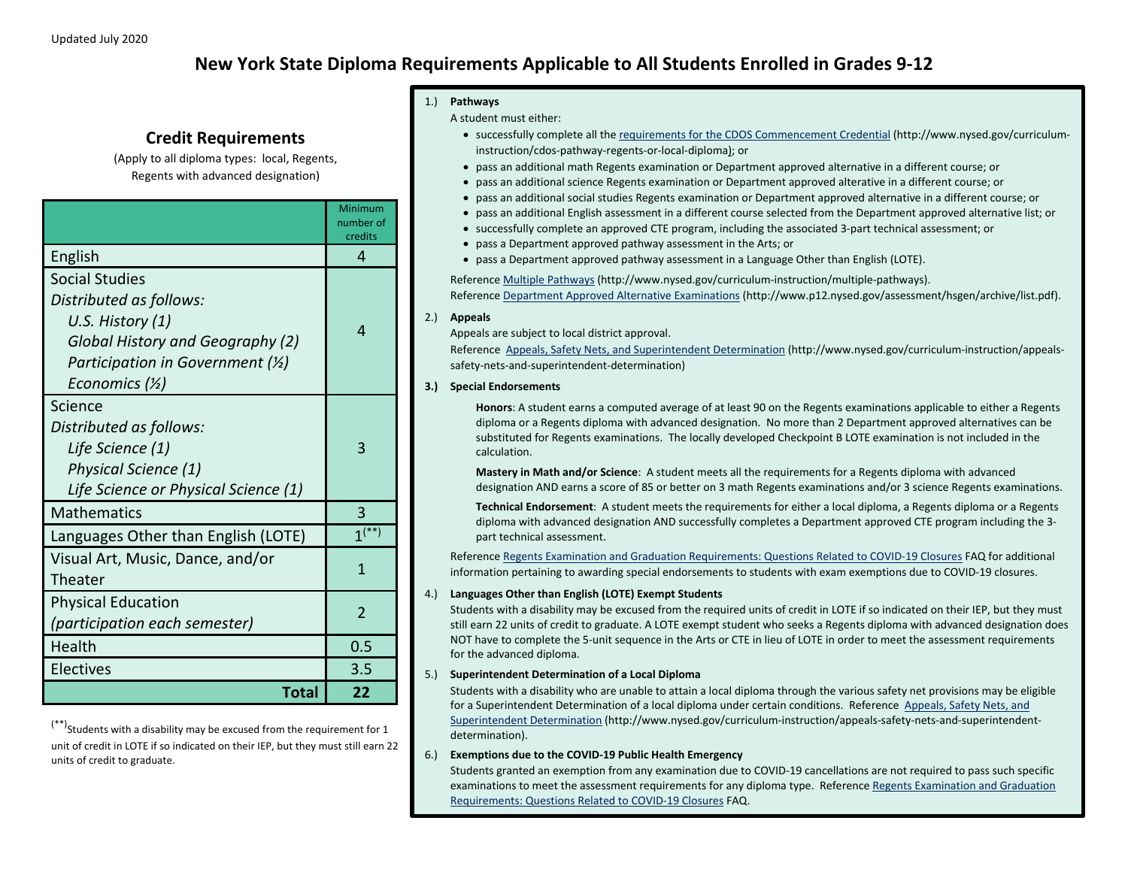# **New York State Diploma Requirements Applicable to All Students Enrolled in Grades 9-12**

## **Credit Requirements**

(Apply to all diploma types: local, Regents, Regents with advanced designation)

|                                                                                                                                                                              | Minimum<br>number of<br>credits |
|------------------------------------------------------------------------------------------------------------------------------------------------------------------------------|---------------------------------|
| English                                                                                                                                                                      | 4                               |
| <b>Social Studies</b><br>Distributed as follows:<br>U.S. History (1)<br>Global History and Geography (2)<br>Participation in Government $(Y_2)$<br>Economics $(\frac{1}{2})$ | 4                               |
| Science<br>Distributed as follows:<br>Life Science (1)<br>Physical Science (1)<br>Life Science or Physical Science (1)                                                       | 3                               |
| <b>Mathematics</b>                                                                                                                                                           | 3                               |
| Languages Other than English (LOTE)                                                                                                                                          | $1^{(*)}$                       |
| Visual Art, Music, Dance, and/or<br>Theater                                                                                                                                  | 1                               |
| <b>Physical Education</b><br>(participation each semester)                                                                                                                   | $\overline{\phantom{a}}$        |
| Health                                                                                                                                                                       | 0.5                             |
| Electives                                                                                                                                                                    | 3.5                             |
| Total                                                                                                                                                                        | 22                              |

 $(***)$ Students with a disability may be excused from the requirement for 1 unit of credit in LOTE if so indicated on their IEP, but they must still earn 22 units of credit to graduate.

#### 1.) **Pathways**

A student must either:

- successfully complete all th[e requirements for the CDOS Commencement Credential](http://www.nysed.gov/curriculum-instruction/cdos-pathway-regents-or-local-diploma) (http://www.nysed.gov/curriculuminstruction/cdos-pathway-regents-or-local-diploma); or
- pass an additional math Regents examination or Department approved alternative in a different course; or
- pass an additional science Regents examination or Department approved alterative in a different course; or
- pass an additional social studies Regents examination or Department approved alternative in a different course; or
	- pass an additional English assessment in a different course selected from the Department approved alternative list; or
- successfully complete an approved CTE program, including the associated 3-part technical assessment; or
- pass a Department approved pathway assessment in the Arts; or
- pass a Department approved pathway assessment in a Language Other than English (LOTE).

Referenc[e Multiple Pathways](http://www.nysed.gov/curriculum-instruction/multiple-pathways) (http://www.nysed.gov/curriculum-instruction/multiple-pathways). Referenc[e Department Approved Alternative Examinations](http://www.p12.nysed.gov/assessment/hsgen/archive/list.pdf) (http://www.p12.nysed.gov/assessment/hsgen/archive/list.pdf).

#### 2.) **Appeals**

Appeals are subject to local district approval.

Reference [Appeals, Safety Nets, and Superintendent Determination](http://www.nysed.gov/curriculum-instruction/appeals-safety-nets-and-superintendent-determination) (http://www.nysed.gov/curriculum-instruction/appealssafety-nets-and-superintendent-determination)

#### **3.) Special Endorsements**

**Honors**: A student earns a computed average of at least 90 on the Regents examinations applicable to either a Regents diploma or a Regents diploma with advanced designation. No more than 2 Department approved alternatives can be substituted for Regents examinations. The locally developed Checkpoint B LOTE examination is not included in the calculation.

**Mastery in Math and/or Science**: A student meets all the requirements for a Regents diploma with advanced designation AND earns a score of 85 or better on 3 math Regents examinations and/or 3 science Regents examinations.

**Technical Endorsement**: A student meets the requirements for either a local diploma, a Regents diploma or a Regents diploma with advanced designation AND successfully completes a Department approved CTE program including the 3 part technical assessment.

Referenc[e Regents Examination and Graduation Requirements: Questions Related to COVID-19 Closures](http://www.nysed.gov/common/nysed/files/programs/coronavirus/nysed-covid-19-regents-grad-req-faq.pdf) FAQ for additional information pertaining to awarding special endorsements to students with exam exemptions due to COVID-19 closures.

#### 4.) **Languages Other than English (LOTE) Exempt Students**

Students with a disability may be excused from the required units of credit in LOTE if so indicated on their IEP, but they must still earn 22 units of credit to graduate. A LOTE exempt student who seeks a Regents diploma with advanced designation does NOT have to complete the 5-unit sequence in the Arts or CTE in lieu of LOTE in order to meet the assessment requirements for the advanced diploma.

#### 5.) **Superintendent Determination of a Local Diploma**

Students with a disability who are unable to attain a local diploma through the various safety net provisions may be eligible for a Superintendent Determination of a local diploma under certain conditions. Reference [Appeals, Safety Nets, and](http://www.nysed.gov/curriculum-instruction/appeals-safety-nets-and-superintendent-determination)  [Superintendent Determination](http://www.nysed.gov/curriculum-instruction/appeals-safety-nets-and-superintendent-determination) (http://www.nysed.gov/curriculum-instruction/appeals-safety-nets-and-superintendentdetermination).

#### 6.) **Exemptions due to the COVID-19 Public Health Emergency**

Students granted an exemption from any examination due to COVID-19 cancellations are not required to pass such specific examinations to meet the assessment requirements for any diploma type. Reference Regents Examination and Graduation [Requirements: Questions Related to COVID-19 Closures](http://www.nysed.gov/common/nysed/files/programs/coronavirus/nysed-covid-19-regents-grad-req-faq.pdf) FAQ.